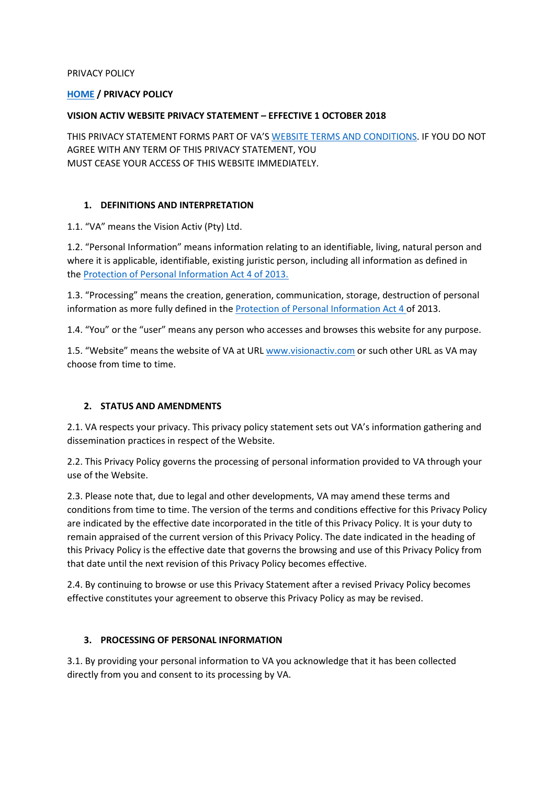PRIVACY POLICY

### **HOME / PRIVACY POLICY**

#### **VISION ACTIV WEBSITE PRIVACY STATEMENT – EFFECTIVE 1 OCTOBER 2018**

THIS PRIVACY STATEMENT FORMS PART OF VA'S WEBSITE TERMS AND CONDITIONS. IF YOU DO NOT AGREE WITH ANY TERM OF THIS PRIVACY STATEMENT, YOU MUST CEASE YOUR ACCESS OF THIS WEBSITE IMMEDIATELY.

#### **1. DEFINITIONS AND INTERPRETATION**

1.1. "VA" means the Vision Activ (Pty) Ltd.

1.2. "Personal Information" means information relating to an identifiable, living, natural person and where it is applicable, identifiable, existing juristic person, including all information as defined in the [Protection of Personal Information Act 4 of 2013.](http://www.gov.za/documents/protection-personal-information-act)

1.3. "Processing" means the creation, generation, communication, storage, destruction of personal information as more fully defined in the Protection of Personal Information Act 4 of 2013.

1.4. "You" or the "user" means any person who accesses and browses this website for any purpose.

1.5. "Website" means the website of VA at URL [www.visionactiv.com](http://www.visionactiv.com/) or such other URL as VA may choose from time to time.

## **2. STATUS AND AMENDMENTS**

2.1. VA respects your privacy. This privacy policy statement sets out VA's information gathering and dissemination practices in respect of the Website.

2.2. This Privacy Policy governs the processing of personal information provided to VA through your use of the Website.

2.3. Please note that, due to legal and other developments, VA may amend these terms and conditions from time to time. The version of the terms and conditions effective for this Privacy Policy are indicated by the effective date incorporated in the title of this Privacy Policy. It is your duty to remain appraised of the current version of this Privacy Policy. The date indicated in the heading of this Privacy Policy is the effective date that governs the browsing and use of this Privacy Policy from that date until the next revision of this Privacy Policy becomes effective.

2.4. By continuing to browse or use this Privacy Statement after a revised Privacy Policy becomes effective constitutes your agreement to observe this Privacy Policy as may be revised.

## **3. PROCESSING OF PERSONAL INFORMATION**

3.1. By providing your personal information to VA you acknowledge that it has been collected directly from you and consent to its processing by VA.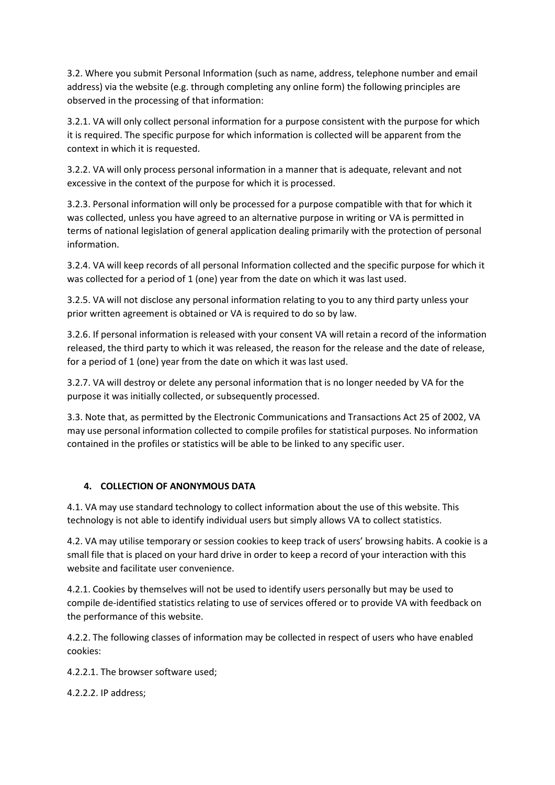3.2. Where you submit Personal Information (such as name, address, telephone number and email address) via the website (e.g. through completing any online form) the following principles are observed in the processing of that information:

3.2.1. VA will only collect personal information for a purpose consistent with the purpose for which it is required. The specific purpose for which information is collected will be apparent from the context in which it is requested.

3.2.2. VA will only process personal information in a manner that is adequate, relevant and not excessive in the context of the purpose for which it is processed.

3.2.3. Personal information will only be processed for a purpose compatible with that for which it was collected, unless you have agreed to an alternative purpose in writing or VA is permitted in terms of national legislation of general application dealing primarily with the protection of personal information.

3.2.4. VA will keep records of all personal Information collected and the specific purpose for which it was collected for a period of 1 (one) year from the date on which it was last used.

3.2.5. VA will not disclose any personal information relating to you to any third party unless your prior written agreement is obtained or VA is required to do so by law.

3.2.6. If personal information is released with your consent VA will retain a record of the information released, the third party to which it was released, the reason for the release and the date of release, for a period of 1 (one) year from the date on which it was last used.

3.2.7. VA will destroy or delete any personal information that is no longer needed by VA for the purpose it was initially collected, or subsequently processed.

3.3. Note that, as permitted by the Electronic Communications and Transactions Act 25 of 2002, VA may use personal information collected to compile profiles for statistical purposes. No information contained in the profiles or statistics will be able to be linked to any specific user.

# **4. COLLECTION OF ANONYMOUS DATA**

4.1. VA may use standard technology to collect information about the use of this website. This technology is not able to identify individual users but simply allows VA to collect statistics.

4.2. VA may utilise temporary or session cookies to keep track of users' browsing habits. A cookie is a small file that is placed on your hard drive in order to keep a record of your interaction with this website and facilitate user convenience.

4.2.1. Cookies by themselves will not be used to identify users personally but may be used to compile de-identified statistics relating to use of services offered or to provide VA with feedback on the performance of this website.

4.2.2. The following classes of information may be collected in respect of users who have enabled cookies:

4.2.2.1. The browser software used;

4.2.2.2. IP address;